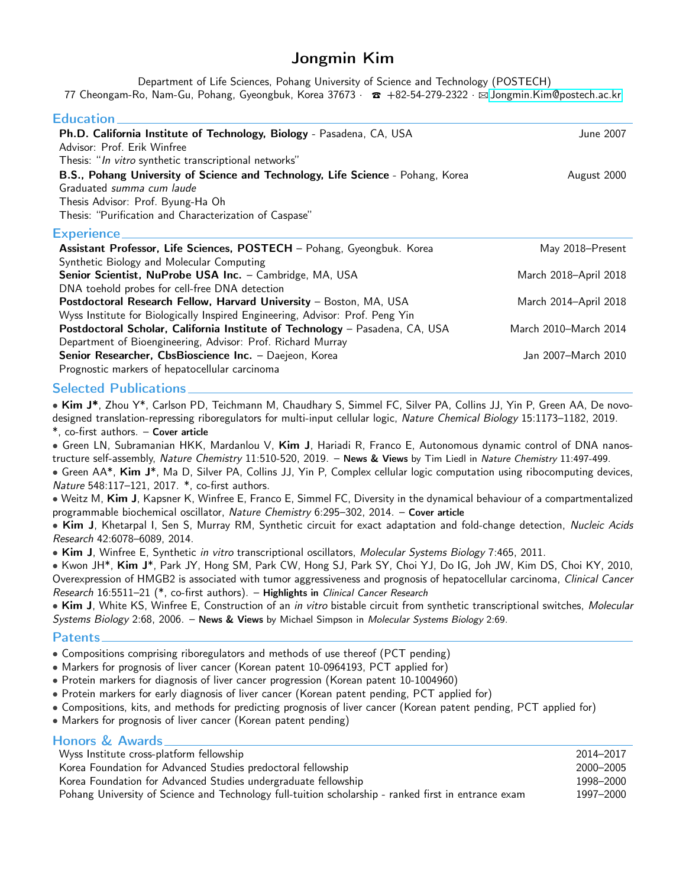# Jongmin Kim

Department of Life Sciences, Pohang University of Science and Technology (POSTECH) 77 Cheongam-Ro, Nam-Gu, Pohang, Gyeongbuk, Korea 37673 ·  $\sigma$  +82-54-279-2322 ·  $\boxtimes$  [Jongmin.Kim@postech.ac.kr](mailto:Jongmin.Kim@postech.ac.kr)

### **Education**

| Ph.D. California Institute of Technology, Biology - Pasadena, CA, USA<br>Advisor: Prof. Erik Winfree<br>Thesis: "In vitro synthetic transcriptional networks" | <b>June 2007</b>      |
|---------------------------------------------------------------------------------------------------------------------------------------------------------------|-----------------------|
| B.S., Pohang University of Science and Technology, Life Science - Pohang, Korea<br>Graduated summa cum laude<br>Thesis Advisor: Prof. Byung-Ha Oh             | August 2000           |
| Thesis: "Purification and Characterization of Caspase"                                                                                                        |                       |
| <b>Experience</b>                                                                                                                                             |                       |
| Assistant Professor, Life Sciences, POSTECH - Pohang, Gyeongbuk. Korea                                                                                        | May 2018–Present      |
| Synthetic Biology and Molecular Computing                                                                                                                     |                       |
| Senior Scientist, NuProbe USA Inc. - Cambridge, MA, USA                                                                                                       | March 2018–April 2018 |
| DNA toehold probes for cell-free DNA detection                                                                                                                |                       |
| Postdoctoral Research Fellow, Harvard University - Boston, MA, USA                                                                                            | March 2014-April 2018 |
| Wyss Institute for Biologically Inspired Engineering, Advisor: Prof. Peng Yin                                                                                 |                       |
| Postdoctoral Scholar, California Institute of Technology - Pasadena, CA, USA                                                                                  | March 2010-March 2014 |
| Department of Bioengineering, Advisor: Prof. Richard Murray                                                                                                   |                       |
| Senior Researcher, CbsBioscience Inc. - Daejeon, Korea                                                                                                        | Jan 2007-March 2010   |
| Prognostic markers of hepatocellular carcinoma                                                                                                                |                       |

### Selected Publications

• Kim J\*, Zhou Y\*, Carlson PD, Teichmann M, Chaudhary S, Simmel FC, Silver PA, Collins JJ, Yin P, Green AA, De novodesigned translation-repressing riboregulators for multi-input cellular logic, Nature Chemical Biology 15:1173–1182, 2019. \*, co-first authors. – Cover article

• Green LN, Subramanian HKK, Mardanlou V, Kim J, Hariadi R, Franco E, Autonomous dynamic control of DNA nanostructure self-assembly, Nature Chemistry 11:510-520, 2019. - News & Views by Tim Liedl in Nature Chemistry 11:497-499.

• Green AA\*, Kim J\*, Ma D, Silver PA, Collins JJ, Yin P, Complex cellular logic computation using ribocomputing devices, Nature 548:117–121, 2017. \*, co-first authors.

• Weitz M, Kim J, Kapsner K, Winfree E, Franco E, Simmel FC, Diversity in the dynamical behaviour of a compartmentalized programmable biochemical oscillator, Nature Chemistry 6:295-302, 2014. - Cover article

• Kim J, Khetarpal I, Sen S, Murray RM, Synthetic circuit for exact adaptation and fold-change detection, Nucleic Acids Research 42:6078–6089, 2014.

• Kim J, Winfree E, Synthetic in vitro transcriptional oscillators, Molecular Systems Biology 7:465, 2011.

• Kwon JH\*, Kim J\*, Park JY, Hong SM, Park CW, Hong SJ, Park SY, Choi YJ, Do IG, Joh JW, Kim DS, Choi KY, 2010, Overexpression of HMGB2 is associated with tumor aggressiveness and prognosis of hepatocellular carcinoma, Clinical Cancer Research 16:5511–21 (\*, co-first authors). – Highlights in Clinical Cancer Research

• Kim J, White KS, Winfree E, Construction of an in vitro bistable circuit from synthetic transcriptional switches, Molecular Systems Biology 2:68, 2006. – News & Views by Michael Simpson in Molecular Systems Biology 2:69.

### Patents

- Compositions comprising riboregulators and methods of use thereof (PCT pending)
- Markers for prognosis of liver cancer (Korean patent 10-0964193, PCT applied for)
- Protein markers for diagnosis of liver cancer progression (Korean patent 10-1004960)
- Protein markers for early diagnosis of liver cancer (Korean patent pending, PCT applied for)
- Compositions, kits, and methods for predicting prognosis of liver cancer (Korean patent pending, PCT applied for)
- Markers for prognosis of liver cancer (Korean patent pending)

| Honors & Awards                                                                                      |           |
|------------------------------------------------------------------------------------------------------|-----------|
| Wyss Institute cross-platform fellowship                                                             | 2014-2017 |
| Korea Foundation for Advanced Studies predoctoral fellowship                                         | 2000–2005 |
| Korea Foundation for Advanced Studies undergraduate fellowship                                       | 1998–2000 |
| Pohang University of Science and Technology full-tuition scholarship - ranked first in entrance exam | 1997–2000 |
|                                                                                                      |           |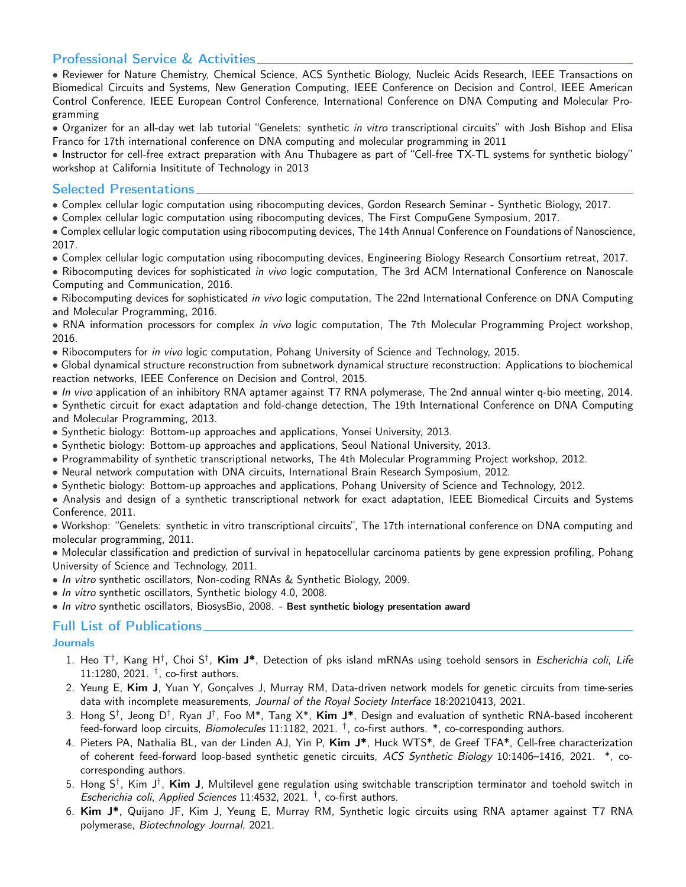# Professional Service & Activities

• Reviewer for Nature Chemistry, Chemical Science, ACS Synthetic Biology, Nucleic Acids Research, IEEE Transactions on Biomedical Circuits and Systems, New Generation Computing, IEEE Conference on Decision and Control, IEEE American Control Conference, IEEE European Control Conference, International Conference on DNA Computing and Molecular Programming

• Organizer for an all-day wet lab tutorial "Genelets: synthetic in vitro transcriptional circuits" with Josh Bishop and Elisa Franco for 17th international conference on DNA computing and molecular programming in 2011

• Instructor for cell-free extract preparation with Anu Thubagere as part of "Cell-free TX-TL systems for synthetic biology" workshop at California Insititute of Technology in 2013

### Selected Presentations

• Complex cellular logic computation using ribocomputing devices, Gordon Research Seminar - Synthetic Biology, 2017.

• Complex cellular logic computation using ribocomputing devices, The First CompuGene Symposium, 2017.

• Complex cellular logic computation using ribocomputing devices, The 14th Annual Conference on Foundations of Nanoscience, 2017.

• Complex cellular logic computation using ribocomputing devices, Engineering Biology Research Consortium retreat, 2017.

• Ribocomputing devices for sophisticated in vivo logic computation, The 3rd ACM International Conference on Nanoscale Computing and Communication, 2016.

• Ribocomputing devices for sophisticated in vivo logic computation, The 22nd International Conference on DNA Computing and Molecular Programming, 2016.

• RNA information processors for complex in vivo logic computation. The 7th Molecular Programming Project workshop, 2016.

• Ribocomputers for *in vivo* logic computation, Pohang University of Science and Technology, 2015.

• Global dynamical structure reconstruction from subnetwork dynamical structure reconstruction: Applications to biochemical reaction networks, IEEE Conference on Decision and Control, 2015.

• In vivo application of an inhibitory RNA aptamer against T7 RNA polymerase, The 2nd annual winter q-bio meeting, 2014.

• Synthetic circuit for exact adaptation and fold-change detection, The 19th International Conference on DNA Computing and Molecular Programming, 2013.

• Synthetic biology: Bottom-up approaches and applications, Yonsei University, 2013.

• Synthetic biology: Bottom-up approaches and applications, Seoul National University, 2013.

• Programmability of synthetic transcriptional networks, The 4th Molecular Programming Project workshop, 2012.

- Neural network computation with DNA circuits, International Brain Research Symposium, 2012.
- Synthetic biology: Bottom-up approaches and applications, Pohang University of Science and Technology, 2012.

• Analysis and design of a synthetic transcriptional network for exact adaptation, IEEE Biomedical Circuits and Systems Conference, 2011.

• Workshop: "Genelets: synthetic in vitro transcriptional circuits", The 17th international conference on DNA computing and molecular programming, 2011.

• Molecular classification and prediction of survival in hepatocellular carcinoma patients by gene expression profiling, Pohang University of Science and Technology, 2011.

- In vitro synthetic oscillators, Non-coding RNAs & Synthetic Biology, 2009.
- In vitro synthetic oscillators, Synthetic biology 4.0, 2008.

• In vitro synthetic oscillators, BiosysBio, 2008. - Best synthetic biology presentation award

# Full List of Publications

### **Journals**

- 1. Heo T<sup>†</sup>, Kang H<sup>†</sup>, Choi S<sup>†</sup>, **Kim J\***, Detection of pks island mRNAs using toehold sensors in *Escherichia coli*, *Life*  $11:1280$ ,  $2021.$  <sup>†</sup>, co-first authors.
- 2. Yeung E, Kim J, Yuan Y, Gonçalves J, Murray RM, Data-driven network models for genetic circuits from time-series data with incomplete measurements, Journal of the Royal Society Interface 18:20210413, 2021.
- 3. Hong S<sup>†</sup>, Jeong D<sup>†</sup>, Ryan J<sup>†</sup>, Foo M\*, Tang X\*, **Kim J\***, Design and evaluation of synthetic RNA-based incoherent feed-forward loop circuits, *Biomolecules* 11:1182, 2021. <sup>†</sup>, co-first authors. \*, co-corresponding authors.
- 4. Pieters PA, Nathalia BL, van der Linden AJ, Yin P, Kim J\*, Huck WTS\*, de Greef TFA\*, Cell-free characterization of coherent feed-forward loop-based synthetic genetic circuits, ACS Synthetic Biology 10:1406–1416, 2021. \*, cocorresponding authors.
- 5. Hong S†, Kim J†, **Kim J**, Multilevel gene regulation using switchable transcription terminator and toehold switch in Escherichia coli, Applied Sciences 11:4532, 2021. <sup>†</sup>, co-first authors.
- 6. Kim J\*, Quijano JF, Kim J, Yeung E, Murray RM, Synthetic logic circuits using RNA aptamer against T7 RNA polymerase, Biotechnology Journal, 2021.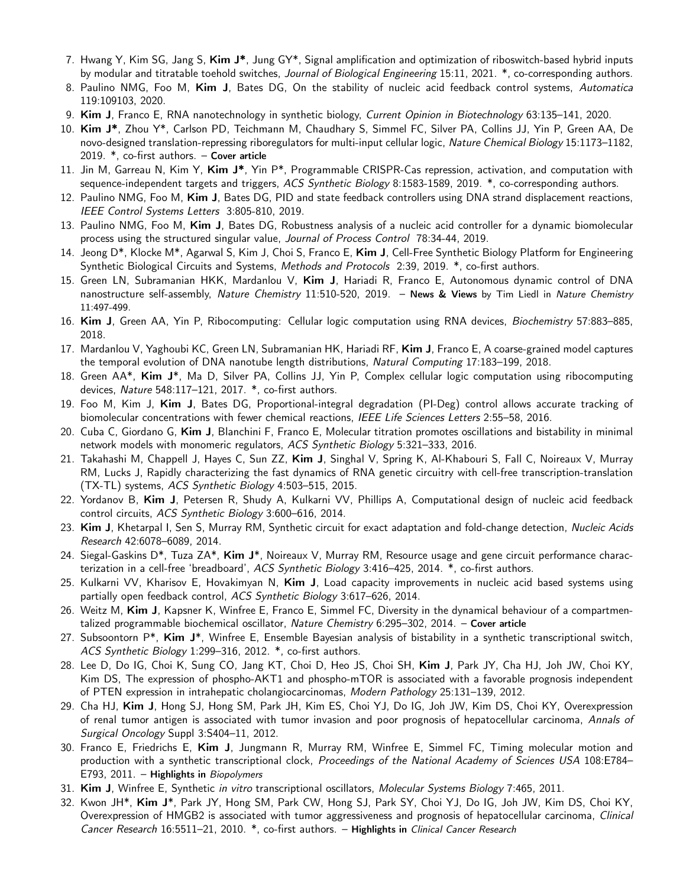- 7. Hwang Y, Kim SG, Jang S, Kim J\*, Jung GY\*, Signal amplification and optimization of riboswitch-based hybrid inputs by modular and titratable toehold switches, Journal of Biological Engineering 15:11, 2021. \*, co-corresponding authors.
- 8. Paulino NMG, Foo M, Kim J, Bates DG, On the stability of nucleic acid feedback control systems, Automatica 119:109103, 2020.
- 9. Kim J, Franco E, RNA nanotechnology in synthetic biology, Current Opinion in Biotechnology 63:135–141, 2020.
- 10. Kim J\*, Zhou Y\*, Carlson PD, Teichmann M, Chaudhary S, Simmel FC, Silver PA, Collins JJ, Yin P, Green AA, De novo-designed translation-repressing riboregulators for multi-input cellular logic, Nature Chemical Biology 15:1173–1182, 2019. \*, co-first authors. – Cover article
- 11. Jin M, Garreau N, Kim Y, Kim J\*, Yin P\*, Programmable CRISPR-Cas repression, activation, and computation with sequence-independent targets and triggers, ACS Synthetic Biology 8:1583-1589, 2019. \*, co-corresponding authors.
- 12. Paulino NMG, Foo M, Kim J, Bates DG, PID and state feedback controllers using DNA strand displacement reactions, IEEE Control Systems Letters 3:805-810, 2019.
- 13. Paulino NMG, Foo M, Kim J, Bates DG, Robustness analysis of a nucleic acid controller for a dynamic biomolecular process using the structured singular value, Journal of Process Control 78:34-44, 2019.
- 14. Jeong D\*, Klocke M\*, Agarwal S, Kim J, Choi S, Franco E, Kim J, Cell-Free Synthetic Biology Platform for Engineering Synthetic Biological Circuits and Systems, Methods and Protocols 2:39, 2019. \*, co-first authors.
- 15. Green LN, Subramanian HKK, Mardanlou V, Kim J, Hariadi R, Franco E, Autonomous dynamic control of DNA nanostructure self-assembly, Nature Chemistry 11:510-520, 2019. - News & Views by Tim Liedl in Nature Chemistry 11:497-499.
- 16. Kim J, Green AA, Yin P, Ribocomputing: Cellular logic computation using RNA devices, Biochemistry 57:883–885, 2018.
- 17. Mardanlou V, Yaghoubi KC, Green LN, Subramanian HK, Hariadi RF, Kim J, Franco E, A coarse-grained model captures the temporal evolution of DNA nanotube length distributions, Natural Computing 17:183–199, 2018.
- 18. Green AA\*, Kim J\*, Ma D, Silver PA, Collins JJ, Yin P, Complex cellular logic computation using ribocomputing devices, Nature 548:117–121, 2017. \*, co-first authors.
- 19. Foo M, Kim J, Kim J, Bates DG, Proportional-integral degradation (PI-Deg) control allows accurate tracking of biomolecular concentrations with fewer chemical reactions, IEEE Life Sciences Letters 2:55-58, 2016.
- 20. Cuba C, Giordano G, Kim J, Blanchini F, Franco E, Molecular titration promotes oscillations and bistability in minimal network models with monomeric regulators, ACS Synthetic Biology 5:321–333, 2016.
- 21. Takahashi M, Chappell J, Hayes C, Sun ZZ, Kim J, Singhal V, Spring K, Al-Khabouri S, Fall C, Noireaux V, Murray RM, Lucks J, Rapidly characterizing the fast dynamics of RNA genetic circuitry with cell-free transcription-translation (TX-TL) systems, ACS Synthetic Biology 4:503–515, 2015.
- 22. Yordanov B, Kim J, Petersen R, Shudy A, Kulkarni VV, Phillips A, Computational design of nucleic acid feedback control circuits, ACS Synthetic Biology 3:600–616, 2014.
- 23. Kim J, Khetarpal I, Sen S, Murray RM, Synthetic circuit for exact adaptation and fold-change detection, Nucleic Acids Research 42:6078–6089, 2014.
- 24. Siegal-Gaskins D<sup>\*</sup>, Tuza ZA<sup>\*</sup>, Kim J<sup>\*</sup>, Noireaux V, Murray RM, Resource usage and gene circuit performance characterization in a cell-free 'breadboard', ACS Synthetic Biology 3:416-425, 2014. \*, co-first authors.
- 25. Kulkarni VV, Kharisov E, Hovakimyan N, Kim J, Load capacity improvements in nucleic acid based systems using partially open feedback control, ACS Synthetic Biology 3:617–626, 2014.
- 26. Weitz M, Kim J, Kapsner K, Winfree E, Franco E, Simmel FC, Diversity in the dynamical behaviour of a compartmentalized programmable biochemical oscillator, Nature Chemistry 6:295-302, 2014. - Cover article
- 27. Subsoontorn  $P^*$ , Kim  $J^*$ , Winfree E, Ensemble Bayesian analysis of bistability in a synthetic transcriptional switch, ACS Synthetic Biology 1:299–316, 2012. \*, co-first authors.
- 28. Lee D, Do IG, Choi K, Sung CO, Jang KT, Choi D, Heo JS, Choi SH, Kim J, Park JY, Cha HJ, Joh JW, Choi KY, Kim DS, The expression of phospho-AKT1 and phospho-mTOR is associated with a favorable prognosis independent of PTEN expression in intrahepatic cholangiocarcinomas, Modern Pathology 25:131–139, 2012.
- 29. Cha HJ, Kim J, Hong SJ, Hong SM, Park JH, Kim ES, Choi YJ, Do IG, Joh JW, Kim DS, Choi KY, Overexpression of renal tumor antigen is associated with tumor invasion and poor prognosis of hepatocellular carcinoma, Annals of Surgical Oncology Suppl 3:S404–11, 2012.
- 30. Franco E, Friedrichs E, Kim J, Jungmann R, Murray RM, Winfree E, Simmel FC, Timing molecular motion and production with a synthetic transcriptional clock, Proceedings of the National Academy of Sciences USA 108:E784-E793, 2011. – Highlights in Biopolymers
- 31. Kim J, Winfree E, Synthetic in vitro transcriptional oscillators, Molecular Systems Biology 7:465, 2011.
- 32. Kwon JH\*, Kim J\*, Park JY, Hong SM, Park CW, Hong SJ, Park SY, Choi YJ, Do IG, Joh JW, Kim DS, Choi KY, Overexpression of HMGB2 is associated with tumor aggressiveness and prognosis of hepatocellular carcinoma, Clinical Cancer Research 16:5511–21, 2010. \*, co-first authors. – Highlights in Clinical Cancer Research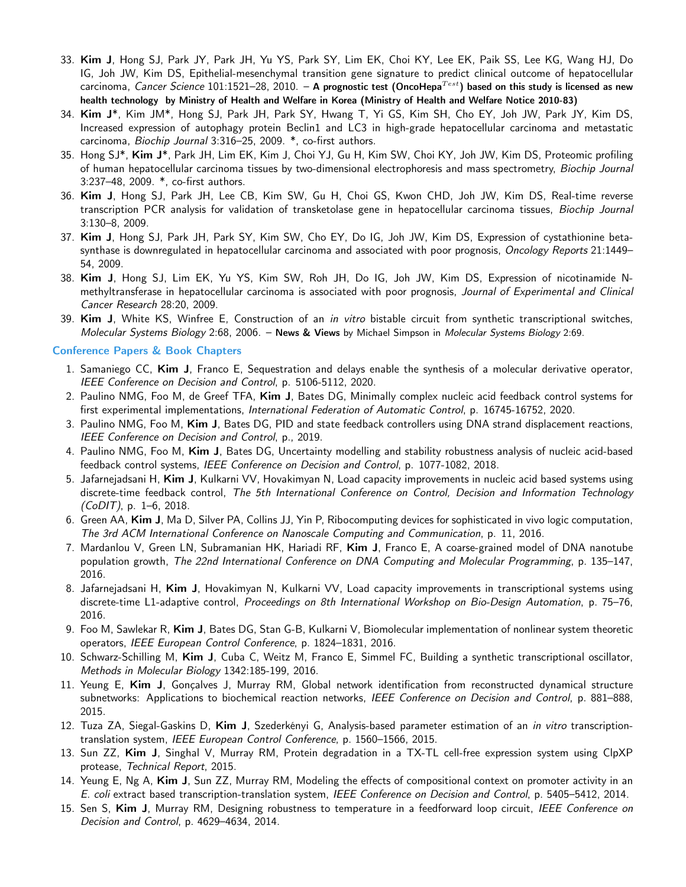- 33. Kim J, Hong SJ, Park JY, Park JH, Yu YS, Park SY, Lim EK, Choi KY, Lee EK, Paik SS, Lee KG, Wang HJ, Do IG, Joh JW, Kim DS, Epithelial-mesenchymal transition gene signature to predict clinical outcome of hepatocellular carcinoma, Cancer Science 101:1521-28, 2010. - A prognostic test (OncoHepa<sup>Test</sup>) based on this study is licensed as new health technology by Ministry of Health and Welfare in Korea (Ministry of Health and Welfare Notice 2010-83)
- 34. Kim J\*, Kim JM\*, Hong SJ, Park JH, Park SY, Hwang T, Yi GS, Kim SH, Cho EY, Joh JW, Park JY, Kim DS, Increased expression of autophagy protein Beclin1 and LC3 in high-grade hepatocellular carcinoma and metastatic carcinoma, Biochip Journal 3:316–25, 2009. \*, co-first authors.
- 35. Hong SJ\*, Kim J\*, Park JH, Lim EK, Kim J, Choi YJ, Gu H, Kim SW, Choi KY, Joh JW, Kim DS, Proteomic profiling of human hepatocellular carcinoma tissues by two-dimensional electrophoresis and mass spectrometry, Biochip Journal 3:237–48, 2009. \*, co-first authors.
- 36. Kim J, Hong SJ, Park JH, Lee CB, Kim SW, Gu H, Choi GS, Kwon CHD, Joh JW, Kim DS, Real-time reverse transcription PCR analysis for validation of transketolase gene in hepatocellular carcinoma tissues, Biochip Journal 3:130–8, 2009.
- 37. Kim J, Hong SJ, Park JH, Park SY, Kim SW, Cho EY, Do IG, Joh JW, Kim DS, Expression of cystathionine betasynthase is downregulated in hepatocellular carcinoma and associated with poor prognosis, Oncology Reports 21:1449– 54, 2009.
- 38. Kim J, Hong SJ, Lim EK, Yu YS, Kim SW, Roh JH, Do IG, Joh JW, Kim DS, Expression of nicotinamide Nmethyltransferase in hepatocellular carcinoma is associated with poor prognosis, Journal of Experimental and Clinical Cancer Research 28:20, 2009.
- 39. Kim J, White KS, Winfree E, Construction of an in vitro bistable circuit from synthetic transcriptional switches, Molecular Systems Biology 2:68, 2006. – News & Views by Michael Simpson in Molecular Systems Biology 2:69.

#### Conference Papers & Book Chapters

- 1. Samaniego CC, Kim J, Franco E, Sequestration and delays enable the synthesis of a molecular derivative operator, IEEE Conference on Decision and Control, p. 5106-5112, 2020.
- 2. Paulino NMG, Foo M, de Greef TFA, Kim J, Bates DG, Minimally complex nucleic acid feedback control systems for first experimental implementations, International Federation of Automatic Control, p. 16745-16752, 2020.
- 3. Paulino NMG, Foo M, Kim J, Bates DG, PID and state feedback controllers using DNA strand displacement reactions, IEEE Conference on Decision and Control, p., 2019.
- 4. Paulino NMG, Foo M, Kim J, Bates DG, Uncertainty modelling and stability robustness analysis of nucleic acid-based feedback control systems, IEEE Conference on Decision and Control, p. 1077-1082, 2018.
- 5. Jafarnejadsani H, Kim J, Kulkarni VV, Hovakimyan N, Load capacity improvements in nucleic acid based systems using discrete-time feedback control, The 5th International Conference on Control, Decision and Information Technology  $(CoD/T)$ , p. 1–6, 2018.
- 6. Green AA, Kim J, Ma D, Silver PA, Collins JJ, Yin P, Ribocomputing devices for sophisticated in vivo logic computation, The 3rd ACM International Conference on Nanoscale Computing and Communication, p. 11, 2016.
- 7. Mardanlou V, Green LN, Subramanian HK, Hariadi RF, Kim J, Franco E, A coarse-grained model of DNA nanotube population growth, The 22nd International Conference on DNA Computing and Molecular Programming, p. 135–147, 2016.
- 8. Jafarnejadsani H, Kim J, Hovakimyan N, Kulkarni VV, Load capacity improvements in transcriptional systems using discrete-time L1-adaptive control, Proceedings on 8th International Workshop on Bio-Design Automation, p. 75–76, 2016.
- 9. Foo M, Sawlekar R, Kim J, Bates DG, Stan G-B, Kulkarni V, Biomolecular implementation of nonlinear system theoretic operators, IEEE European Control Conference, p. 1824–1831, 2016.
- 10. Schwarz-Schilling M, Kim J, Cuba C, Weitz M, Franco E, Simmel FC, Building a synthetic transcriptional oscillator, Methods in Molecular Biology 1342:185-199, 2016.
- 11. Yeung E, Kim J, Gonçalves J, Murray RM, Global network identification from reconstructed dynamical structure subnetworks: Applications to biochemical reaction networks, IEEE Conference on Decision and Control, p. 881–888, 2015.
- 12. Tuza ZA, Siegal-Gaskins D, Kim J, Szederkényi G, Analysis-based parameter estimation of an in vitro transcriptiontranslation system, IEEE European Control Conference, p. 1560–1566, 2015.
- 13. Sun ZZ, Kim J, Singhal V, Murray RM, Protein degradation in a TX-TL cell-free expression system using ClpXP protease, Technical Report, 2015.
- 14. Yeung E, Ng A, Kim J, Sun ZZ, Murray RM, Modeling the effects of compositional context on promoter activity in an E. coli extract based transcription-translation system, IEEE Conference on Decision and Control, p. 5405–5412, 2014.
- 15. Sen S, Kim J, Murray RM, Designing robustness to temperature in a feedforward loop circuit, IEEE Conference on Decision and Control, p. 4629–4634, 2014.